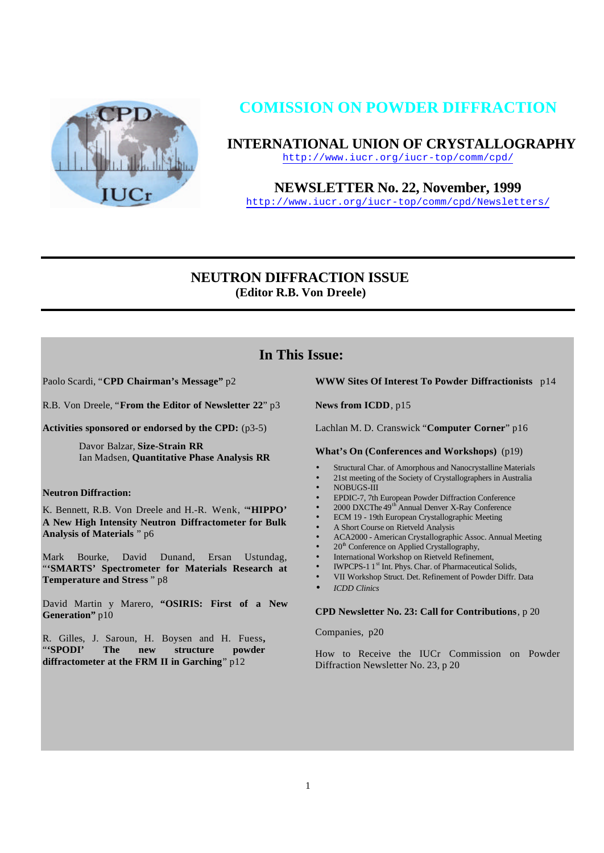

# **COMISSION ON POWDER DIFFRACTION**

**INTERNATIONAL UNION OF CRYSTALLOGRAPHY**

http://www.iucr.org/iucr-top/comm/cpd/

**NEWSLETTER No. 22, November, 1999**

http://www.iucr.org/iucr-top/comm/cpd/Newsletters/

# **NEUTRON DIFFRACTION ISSUE (Editor R.B. Von Dreele)**

# **In This Issue:**

Paolo Scardi, "**CPD Chairman's Message"** p2

R.B. Von Dreele, "**From the Editor of Newsletter 22**" p3

**Activities sponsored or endorsed by the CPD:** (p3-5)

Davor Balzar, **Size-Strain RR** Ian Madsen, **Quantitative Phase Analysis RR**

## **Neutron Diffraction:**

K. Bennett, R.B. Von Dreele and H.-R. Wenk, "**'HIPPO' A New High Intensity Neutron Diffractometer for Bulk Analysis of Materials** " p6

Mark Bourke, David Dunand, Ersan Ustundag, "**'SMARTS' Spectrometer for Materials Research at Temperature and Stress** " p8

David Martin y Marero, **"OSIRIS: First of a New** Generation" p10

R. Gilles, J. Saroun, H. Boysen and H. Fuess**,** "**'SPODI' The new structure powder diffractometer at the FRM II in Garching**" p12

## **WWW Sites Of Interest To Powder Diffractionists** p14

**News from ICDD**, p15

Lachlan M. D. Cranswick "**Computer Corner**" p16

**What's On (Conferences and Workshops)** (p19)

- Structural Char. of Amorphous and Nanocrystalline Materials
- 21st meeting of the Society of Crystallographers in Australia
- NOBUGS-III
- EPDIC-7, 7th European Powder Diffraction Conference
- 2000 DXCThe 49th Annual Denver X-Ray Conference
- ECM 19 19th European Crystallographic Meeting
- A Short Course on Rietveld Analysis
- ACA2000 American Crystallographic Assoc. Annual Meeting
- 20<sup>th</sup> Conference on Applied Crystallography,
- International Workshop on Rietveld Refinement,
- IWPCPS-1 1<sup>st</sup> Int. Phys. Char. of Pharmaceutical Solids,
- VII Workshop Struct. Det. Refinement of Powder Diffr. Data
- *ICDD Clinics*

#### **CPD Newsletter No. 23: Call for Contributions**, p 20

Companies, p20

How to Receive the IUCr Commission on Powder Diffraction Newsletter No. 23, p 20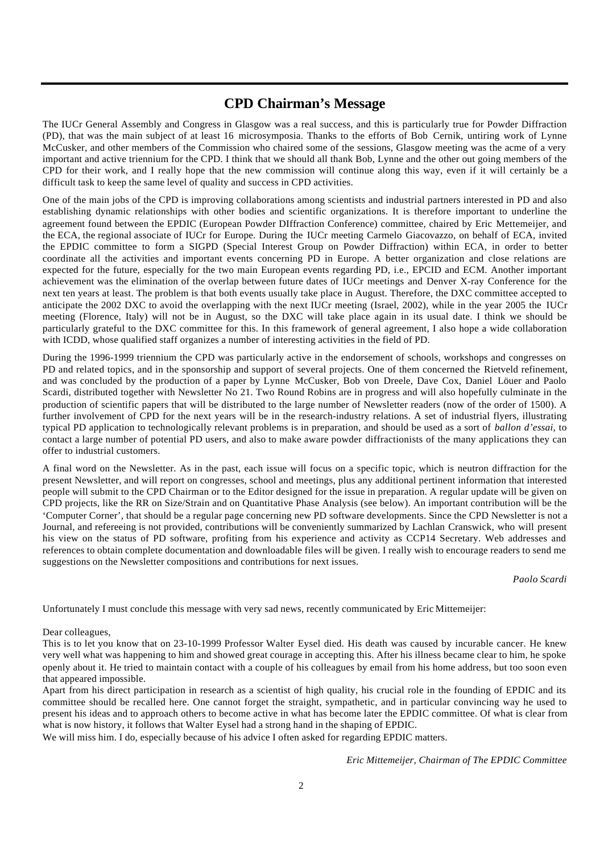# **CPD Chairman's Message**

The IUCr General Assembly and Congress in Glasgow was a real success, and this is particularly true for Powder Diffraction (PD), that was the main subject of at least 16 microsymposia. Thanks to the efforts of Bob Cernik, untiring work of Lynne McCusker, and other members of the Commission who chaired some of the sessions, Glasgow meeting was the acme of a very important and active triennium for the CPD. I think that we should all thank Bob, Lynne and the other out going members of the CPD for their work, and I really hope that the new commission will continue along this way, even if it will certainly be a difficult task to keep the same level of quality and success in CPD activities.

One of the main jobs of the CPD is improving collaborations among scientists and industrial partners interested in PD and also establishing dynamic relationships with other bodies and scientific organizations. It is therefore important to underline the agreement found between the EPDIC (European Powder DIffraction Conference) committee, chaired by Eric Mettemeijer, and the ECA, the regional associate of IUCr for Europe. During the IUCr meeting Carmelo Giacovazzo, on behalf of ECA, invited the EPDIC committee to form a SIGPD (Special Interest Group on Powder Diffraction) within ECA, in order to better coordinate all the activities and important events concerning PD in Europe. A better organization and close relations are expected for the future, especially for the two main European events regarding PD, i.e., EPCID and ECM. Another important achievement was the elimination of the overlap between future dates of IUCr meetings and Denver X-ray Conference for the next ten years at least. The problem is that both events usually take place in August. Therefore, the DXC committee accepted to anticipate the 2002 DXC to avoid the overlapping with the next IUCr meeting (Israel, 2002), while in the year 2005 the IUCr meeting (Florence, Italy) will not be in August, so the DXC will take place again in its usual date. I think we should be particularly grateful to the DXC committee for this. In this framework of general agreement, I also hope a wide collaboration with ICDD, whose qualified staff organizes a number of interesting activities in the field of PD.

During the 1996-1999 triennium the CPD was particularly active in the endorsement of schools, workshops and congresses on PD and related topics, and in the sponsorship and support of several projects. One of them concerned the Rietveld refinement, and was concluded by the production of a paper by Lynne McCusker, Bob von Dreele, Dave Cox, Daniel Löuer and Paolo Scardi, distributed together with Newsletter No 21. Two Round Robins are in progress and will also hopefully culminate in the production of scientific papers that will be distributed to the large number of Newsletter readers (now of the order of 1500). A further involvement of CPD for the next years will be in the research-industry relations. A set of industrial flyers, illustrating typical PD application to technologically relevant problems is in preparation, and should be used as a sort of *ballon d'essai*, to contact a large number of potential PD users, and also to make aware powder diffractionists of the many applications they can offer to industrial customers.

A final word on the Newsletter. As in the past, each issue will focus on a specific topic, which is neutron diffraction for the present Newsletter, and will report on congresses, school and meetings, plus any additional pertinent information that interested people will submit to the CPD Chairman or to the Editor designed for the issue in preparation. A regular update will be given on CPD projects, like the RR on Size/Strain and on Quantitative Phase Analysis (see below). An important contribution will be the 'Computer Corner', that should be a regular page concerning new PD software developments. Since the CPD Newsletter is not a Journal, and refereeing is not provided, contributions will be conveniently summarized by Lachlan Cranswick, who will present his view on the status of PD software, profiting from his experience and activity as CCP14 Secretary. Web addresses and references to obtain complete documentation and downloadable files will be given. I really wish to encourage readers to send me suggestions on the Newsletter compositions and contributions for next issues.

*Paolo Scardi*

Unfortunately I must conclude this message with very sad news, recently communicated by Eric Mittemeijer:

Dear colleagues,

This is to let you know that on 23-10-1999 Professor Walter Eysel died. His death was caused by incurable cancer. He knew very well what was happening to him and showed great courage in accepting this. After his illness became clear to him, he spoke openly about it. He tried to maintain contact with a couple of his colleagues by email from his home address, but too soon even that appeared impossible.

Apart from his direct participation in research as a scientist of high quality, his crucial role in the founding of EPDIC and its committee should be recalled here. One cannot forget the straight, sympathetic, and in particular convincing way he used to present his ideas and to approach others to become active in what has become later the EPDIC committee. Of what is clear from what is now history, it follows that Walter Eysel had a strong hand in the shaping of EPDIC.

We will miss him. I do, especially because of his advice I often asked for regarding EPDIC matters.

*Eric Mittemeijer, Chairman of The EPDIC Committee*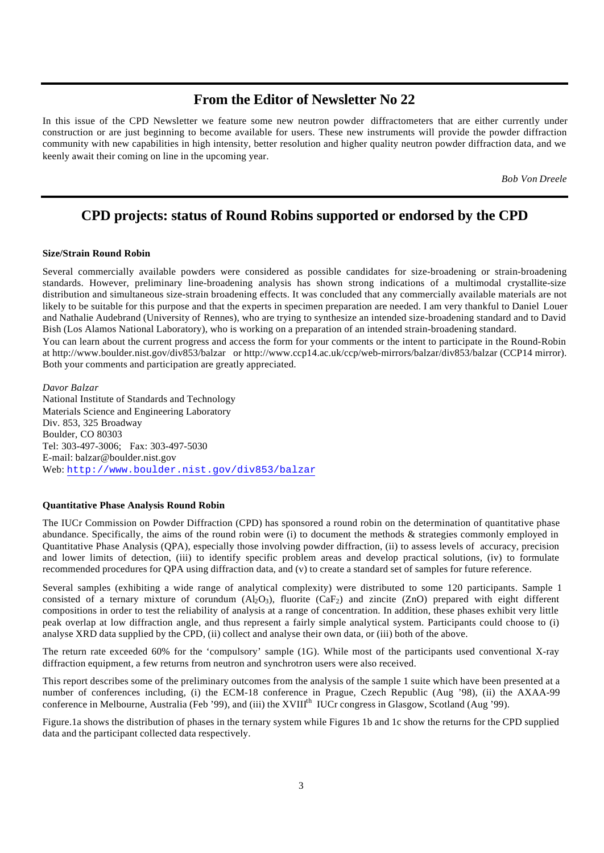# **From the Editor of Newsletter No 22**

In this issue of the CPD Newsletter we feature some new neutron powder diffractometers that are either currently under construction or are just beginning to become available for users. These new instruments will provide the powder diffraction community with new capabilities in high intensity, better resolution and higher quality neutron powder diffraction data, and we keenly await their coming on line in the upcoming year.

*Bob Von Dreele*

# **CPD projects: status of Round Robins supported or endorsed by the CPD**

#### **Size/Strain Round Robin**

Several commercially available powders were considered as possible candidates for size-broadening or strain-broadening standards. However, preliminary line-broadening analysis has shown strong indications of a multimodal crystallite-size distribution and simultaneous size-strain broadening effects. It was concluded that any commercially available materials are not likely to be suitable for this purpose and that the experts in specimen preparation are needed. I am very thankful to Daniel Louer and Nathalie Audebrand (University of Rennes), who are trying to synthesize an intended size-broadening standard and to David Bish (Los Alamos National Laboratory), who is working on a preparation of an intended strain-broadening standard. You can learn about the current progress and access the form for your comments or the intent to participate in the Round-Robin

at http://www.boulder.nist.gov/div853/balzar or http://www.ccp14.ac.uk/ccp/web-mirrors/balzar/div853/balzar (CCP14 mirror). Both your comments and participation are greatly appreciated.

*Davor Balzar* National Institute of Standards and Technology Materials Science and Engineering Laboratory Div. 853, 325 Broadway Boulder, CO 80303 Tel: 303-497-3006; Fax: 303-497-5030 E-mail: balzar@boulder.nist.gov Web: http://www.boulder.nist.gov/div853/balzar

#### **Quantitative Phase Analysis Round Robin**

The IUCr Commission on Powder Diffraction (CPD) has sponsored a round robin on the determination of quantitative phase abundance. Specifically, the aims of the round robin were (i) to document the methods & strategies commonly employed in Quantitative Phase Analysis (QPA), especially those involving powder diffraction, (ii) to assess levels of accuracy, precision and lower limits of detection, (iii) to identify specific problem areas and develop practical solutions, (iv) to formulate recommended procedures for QPA using diffraction data, and (v) to create a standard set of samples for future reference.

Several samples (exhibiting a wide range of analytical complexity) were distributed to some 120 participants. Sample 1 consisted of a ternary mixture of corundum  $(A_2O_3)$ , fluorite  $(CaF_2)$  and zincite (ZnO) prepared with eight different compositions in order to test the reliability of analysis at a range of concentration. In addition, these phases exhibit very little peak overlap at low diffraction angle, and thus represent a fairly simple analytical system. Participants could choose to (i) analyse XRD data supplied by the CPD, (ii) collect and analyse their own data, or (iii) both of the above.

The return rate exceeded 60% for the 'compulsory' sample (1G). While most of the participants used conventional X-ray diffraction equipment, a few returns from neutron and synchrotron users were also received.

This report describes some of the preliminary outcomes from the analysis of the sample 1 suite which have been presented at a number of conferences including, (i) the ECM-18 conference in Prague, Czech Republic (Aug '98), (ii) the AXAA-99 conference in Melbourne, Australia (Feb '99), and (iii) the XVIII<sup>th</sup> IUCr congress in Glasgow, Scotland (Aug '99).

Figure.1a shows the distribution of phases in the ternary system while Figures 1b and 1c show the returns for the CPD supplied data and the participant collected data respectively.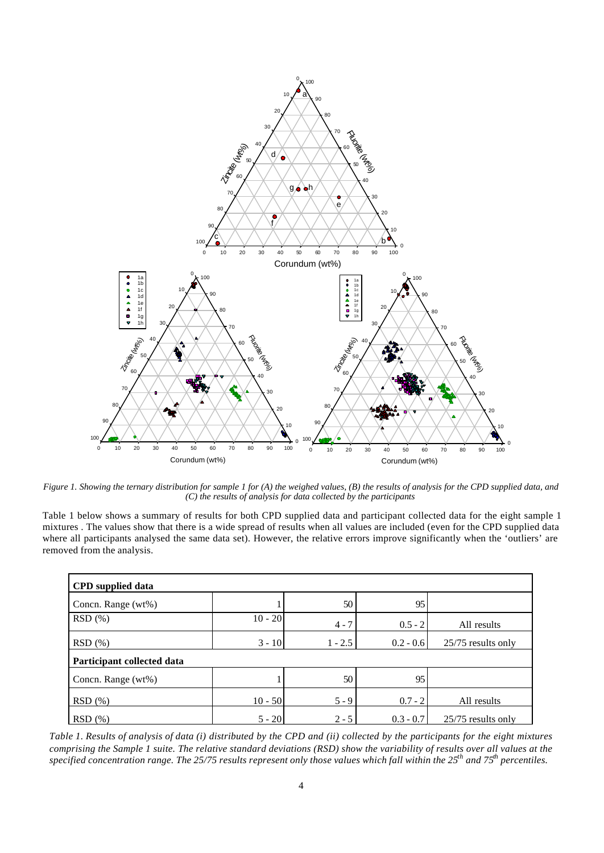

*Figure 1. Showing the ternary distribution for sample 1 for (A) the weighed values, (B) the results of analysis for the CPD supplied data, and (C) the results of analysis for data collected by the participants*

Table 1 below shows a summary of results for both CPD supplied data and participant collected data for the eight sample 1 mixtures . The values show that there is a wide spread of results when all values are included (even for the CPD supplied data where all participants analysed the same data set). However, the relative errors improve significantly when the 'outliers' are removed from the analysis.

| <b>CPD</b> supplied data   |           |           |             |                    |
|----------------------------|-----------|-----------|-------------|--------------------|
| Concn. Range (wt%)         |           | 50        | 95          |                    |
| RSD(%)                     | $10 - 20$ | $4 - 7$   | $0.5 - 2$   | All results        |
| RSD(%)                     | $3 - 10$  | $1 - 2.5$ | $0.2 - 0.6$ | 25/75 results only |
| Participant collected data |           |           |             |                    |
| Concn. Range (wt%)         |           | 50        | 95          |                    |
| RSD(%)                     | $10 - 50$ | $5 - 9$   | $0.7 - 2$   | All results        |
| RSD(%)                     | $5 - 20$  | $2 - 5$   | $0.3 - 0.7$ | 25/75 results only |

*Table 1. Results of analysis of data (i) distributed by the CPD and (ii) collected by the participants for the eight mixtures comprising the Sample 1 suite. The relative standard deviations (RSD) show the variability of results over all values at the specified concentration range. The 25/75 results represent only those values which fall within the 25th and 75th percentiles.*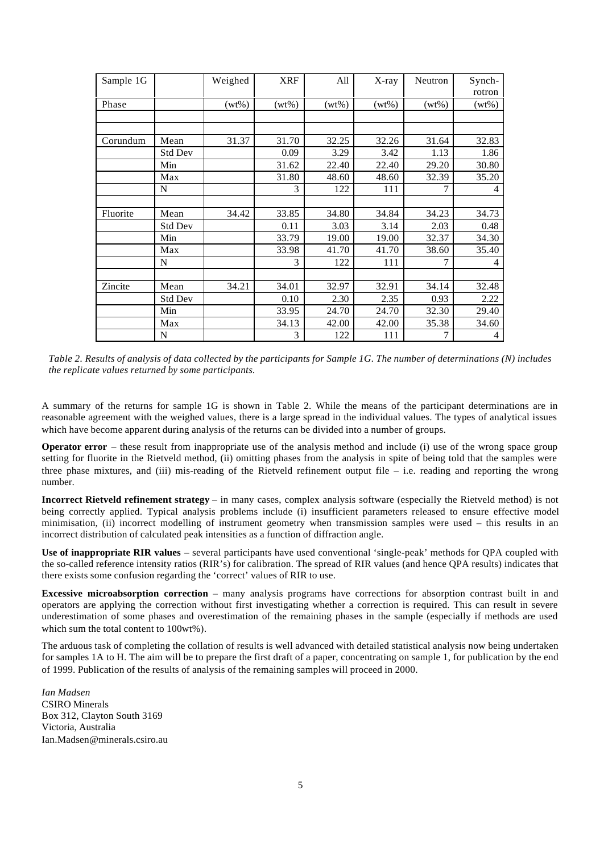| Sample 1G |                | Weighed  | <b>XRF</b> | All      | X-ray    | Neutron  | Synch-<br>rotron |
|-----------|----------------|----------|------------|----------|----------|----------|------------------|
| Phase     |                | $(wt\%)$ | $(wt\%)$   | $(wt\%)$ | $(wt\%)$ | $(wt\%)$ | $(wt\%)$         |
|           |                |          |            |          |          |          |                  |
|           |                |          |            |          |          |          |                  |
| Corundum  | Mean           | 31.37    | 31.70      | 32.25    | 32.26    | 31.64    | 32.83            |
|           | <b>Std Dev</b> |          | 0.09       | 3.29     | 3.42     | 1.13     | 1.86             |
|           | Min            |          | 31.62      | 22.40    | 22.40    | 29.20    | 30.80            |
|           | Max            |          | 31.80      | 48.60    | 48.60    | 32.39    | 35.20            |
|           | N              |          | 3          | 122      | 111      | 7        | 4                |
|           |                |          |            |          |          |          |                  |
| Fluorite  | Mean           | 34.42    | 33.85      | 34.80    | 34.84    | 34.23    | 34.73            |
|           | Std Dev        |          | 0.11       | 3.03     | 3.14     | 2.03     | 0.48             |
|           | Min            |          | 33.79      | 19.00    | 19.00    | 32.37    | 34.30            |
|           | Max            |          | 33.98      | 41.70    | 41.70    | 38.60    | 35.40            |
|           | N              |          | 3          | 122      | 111      | 7        | 4                |
|           |                |          |            |          |          |          |                  |
| Zincite   | Mean           | 34.21    | 34.01      | 32.97    | 32.91    | 34.14    | 32.48            |
|           | <b>Std Dev</b> |          | 0.10       | 2.30     | 2.35     | 0.93     | 2.22             |
|           | Min            |          | 33.95      | 24.70    | 24.70    | 32.30    | 29.40            |
|           | Max            |          | 34.13      | 42.00    | 42.00    | 35.38    | 34.60            |
|           | N              |          | 3          | 122      | 111      | 7        | 4                |

*Table 2. Results of analysis of data collected by the participants for Sample 1G. The number of determinations (N) includes the replicate values returned by some participants.*

A summary of the returns for sample 1G is shown in Table 2. While the means of the participant determinations are in reasonable agreement with the weighed values, there is a large spread in the individual values. The types of analytical issues which have become apparent during analysis of the returns can be divided into a number of groups.

**Operator error** – these result from inappropriate use of the analysis method and include (i) use of the wrong space group setting for fluorite in the Rietveld method, (ii) omitting phases from the analysis in spite of being told that the samples were three phase mixtures, and (iii) mis-reading of the Rietveld refinement output file – i.e. reading and reporting the wrong number.

**Incorrect Rietveld refinement strategy** – in many cases, complex analysis software (especially the Rietveld method) is not being correctly applied. Typical analysis problems include (i) insufficient parameters released to ensure effective model minimisation, (ii) incorrect modelling of instrument geometry when transmission samples were used – this results in an incorrect distribution of calculated peak intensities as a function of diffraction angle.

**Use of inappropriate RIR values** – several participants have used conventional 'single-peak' methods for QPA coupled with the so-called reference intensity ratios (RIR's) for calibration. The spread of RIR values (and hence QPA results) indicates that there exists some confusion regarding the 'correct' values of RIR to use.

**Excessive microabsorption correction** – many analysis programs have corrections for absorption contrast built in and operators are applying the correction without first investigating whether a correction is required. This can result in severe underestimation of some phases and overestimation of the remaining phases in the sample (especially if methods are used which sum the total content to 100wt%).

The arduous task of completing the collation of results is well advanced with detailed statistical analysis now being undertaken for samples 1A to H. The aim will be to prepare the first draft of a paper, concentrating on sample 1, for publication by the end of 1999. Publication of the results of analysis of the remaining samples will proceed in 2000.

*Ian Madsen* CSIRO Minerals Box 312, Clayton South 3169 Victoria, Australia Ian.Madsen@minerals.csiro.au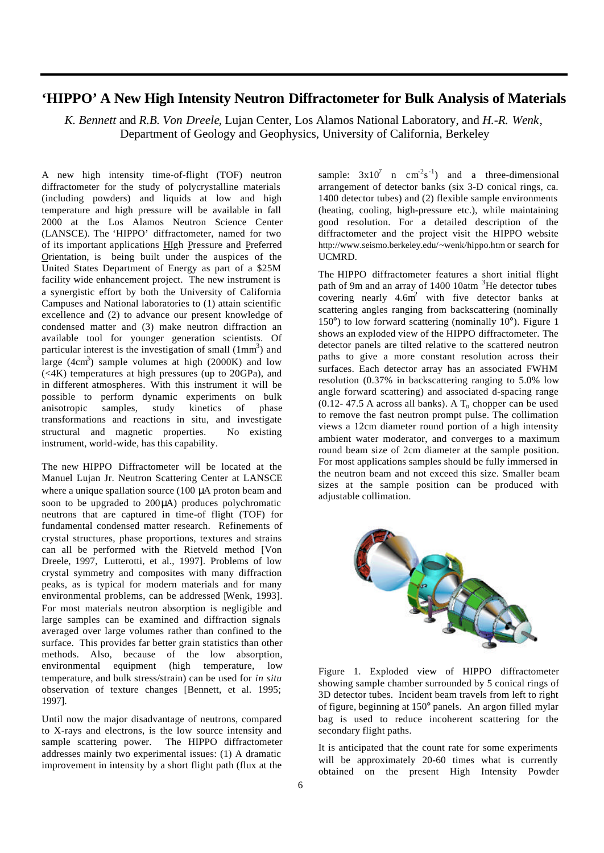# **'HIPPO' A New High Intensity Neutron Diffractometer for Bulk Analysis of Materials**

*K. Bennett* and *R.B. Von Dreele*, Lujan Center, Los Alamos National Laboratory, and *H.-R. Wenk*, Department of Geology and Geophysics, University of California, Berkeley

A new high intensity time-of-flight (TOF) neutron diffractometer for the study of polycrystalline materials (including powders) and liquids at low and high temperature and high pressure will be available in fall 2000 at the Los Alamos Neutron Science Center (LANSCE). The 'HIPPO' diffractometer, named for two of its important applications HIgh Pressure and Preferred Orientation, is being built under the auspices of the United States Department of Energy as part of a \$25M facility wide enhancement project. The new instrument is a synergistic effort by both the University of California Campuses and National laboratories to (1) attain scientific excellence and (2) to advance our present knowledge of condensed matter and (3) make neutron diffraction an available tool for younger generation scientists. Of particular interest is the investigation of small  $(1mm<sup>3</sup>)$  and large  $(4cm^3)$  sample volumes at high  $(2000K)$  and low  $(**4K**)$  temperatures at high pressures (up to 20GPa), and in different atmospheres. With this instrument it will be possible to perform dynamic experiments on bulk anisotropic samples, study kinetics of phase transformations and reactions in situ, and investigate structural and magnetic properties. No existing instrument, world-wide, has this capability.

The new HIPPO Diffractometer will be located at the Manuel Lujan Jr. Neutron Scattering Center at LANSCE where a unique spallation source (100 μA proton beam and soon to be upgraded to 200μA) produces polychromatic neutrons that are captured in time-of flight (TOF) for fundamental condensed matter research. Refinements of crystal structures, phase proportions, textures and strains can all be performed with the Rietveld method [Von Dreele, 1997, Lutterotti, et al., 1997]. Problems of low crystal symmetry and composites with many diffraction peaks, as is typical for modern materials and for many environmental problems, can be addressed [Wenk, 1993]. For most materials neutron absorption is negligible and large samples can be examined and diffraction signals averaged over large volumes rather than confined to the surface. This provides far better grain statistics than other methods. Also, because of the low absorption, environmental equipment (high temperature, low temperature, and bulk stress/strain) can be used for *in situ* observation of texture changes [Bennett, et al. 1995; 1997].

Until now the major disadvantage of neutrons, compared to X-rays and electrons, is the low source intensity and sample scattering power. The HIPPO diffractometer addresses mainly two experimental issues: (1) A dramatic improvement in intensity by a short flight path (flux at the

sample:  $3x10^7$  n cm<sup>-2</sup>s<sup>-1</sup>) and a three-dimensional arrangement of detector banks (six 3-D conical rings, ca. 1400 detector tubes) and (2) flexible sample environments (heating, cooling, high-pressure etc.), while maintaining good resolution. For a detailed description of the diffractometer and the project visit the HIPPO website http://www.seismo.berkeley.edu/~wenk/hippo.htm or search for UCMRD.

The HIPPO diffractometer features a short initial flight path of 9m and an array of 1400 10atm <sup>3</sup>He detector tubes covering nearly  $4.6m^2$  with five detector banks at scattering angles ranging from backscattering (nominally  $150^{\circ}$ ) to low forward scattering (nominally  $10^{\circ}$ ). Figure 1 shows an exploded view of the HIPPO diffractometer. The detector panels are tilted relative to the scattered neutron paths to give a more constant resolution across their surfaces. Each detector array has an associated FWHM resolution (0.37% in backscattering ranging to 5.0% low angle forward scattering) and associated d-spacing range  $(0.12 - 47.5 \text{ A across all banks})$ . A T<sub>o</sub> chopper can be used to remove the fast neutron prompt pulse. The collimation views a 12cm diameter round portion of a high intensity ambient water moderator, and converges to a maximum round beam size of 2cm diameter at the sample position. For most applications samples should be fully immersed in the neutron beam and not exceed this size. Smaller beam sizes at the sample position can be produced with adjustable collimation.



Figure 1. Exploded view of HIPPO diffractometer showing sample chamber surrounded by 5 conical rings of 3D detector tubes. Incident beam travels from left to right of figure, beginning at 150° panels. An argon filled mylar bag is used to reduce incoherent scattering for the secondary flight paths.

It is anticipated that the count rate for some experiments will be approximately 20-60 times what is currently obtained on the present High Intensity Powder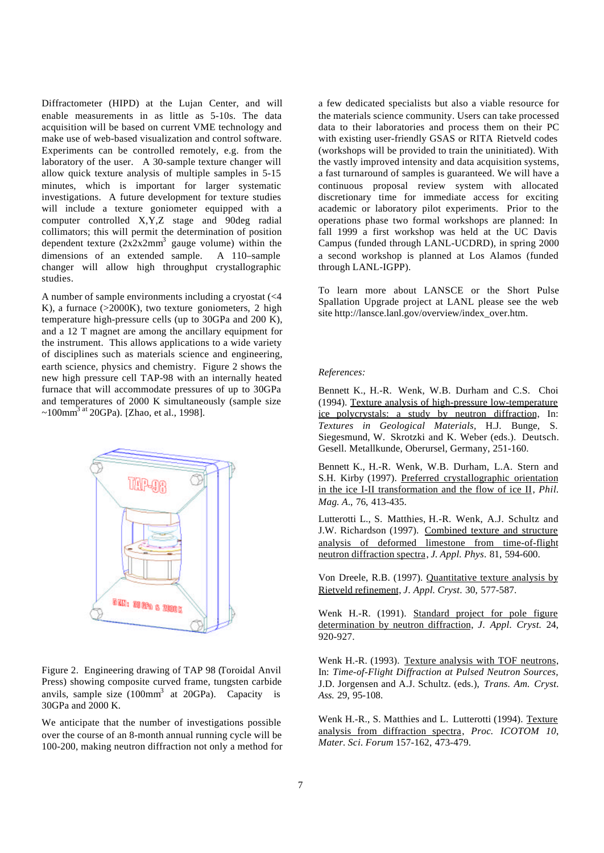Diffractometer (HIPD) at the Lujan Center, and will enable measurements in as little as 5-10s. The data acquisition will be based on current VME technology and make use of web-based visualization and control software. Experiments can be controlled remotely, e.g. from the laboratory of the user. A 30-sample texture changer will allow quick texture analysis of multiple samples in 5-15 minutes, which is important for larger systematic investigations. A future development for texture studies will include a texture goniometer equipped with a computer controlled X,Y,Z stage and 90deg radial collimators; this will permit the determination of position dependent texture  $(2x2x2mm^3)$  gauge volume) within the dimensions of an extended sample. A 110–sample changer will allow high throughput crystallographic studies.

A number of sample environments including a cryostat (<4 K), a furnace  $(>2000K)$ , two texture goniometers, 2 high temperature high-pressure cells (up to 30GPa and 200 K), and a 12 T magnet are among the ancillary equipment for the instrument. This allows applications to a wide variety of disciplines such as materials science and engineering, earth science, physics and chemistry. Figure 2 shows the new high pressure cell TAP-98 with an internally heated furnace that will accommodate pressures of up to 30GPa and temperatures of 2000 K simultaneously (sample size  $\sim 100$ mm<sup>3 at</sup> 20GPa). [Zhao, et al., 1998].



Figure 2. Engineering drawing of TAP 98 (Toroidal Anvil Press) showing composite curved frame, tungsten carbide anvils, sample size  $(100 \text{mm}^3)$  at 20GPa). Capacity is 30GPa and 2000 K.

We anticipate that the number of investigations possible over the course of an 8-month annual running cycle will be 100-200, making neutron diffraction not only a method for a few dedicated specialists but also a viable resource for the materials science community. Users can take processed data to their laboratories and process them on their PC with existing user-friendly GSAS or RITA Rietveld codes (workshops will be provided to train the uninitiated). With the vastly improved intensity and data acquisition systems, a fast turnaround of samples is guaranteed. We will have a continuous proposal review system with allocated discretionary time for immediate access for exciting academic or laboratory pilot experiments. Prior to the operations phase two formal workshops are planned: In fall 1999 a first workshop was held at the UC Davis Campus (funded through LANL-UCDRD), in spring 2000 a second workshop is planned at Los Alamos (funded through LANL-IGPP).

To learn more about LANSCE or the Short Pulse Spallation Upgrade project at LANL please see the web site http://lansce.lanl.gov/overview/index\_over.htm.

#### *References:*

Bennett K., H.-R. Wenk, W.B. Durham and C.S. Choi (1994). Texture analysis of high-pressure low-temperature ice polycrystals: a study by neutron diffraction, In: *Textures in Geological Materials,* H.J. Bunge, S. Siegesmund, W. Skrotzki and K. Weber (eds.). Deutsch. Gesell. Metallkunde, Oberursel, Germany, 251-160.

Bennett K., H.-R. Wenk, W.B. Durham, L.A. Stern and S.H. Kirby (1997). Preferred crystallographic orientation in the ice I-II transformation and the flow of ice II, *Phil. Mag. A*., 76, 413-435.

Lutterotti L., S. Matthies, H.-R. Wenk, A.J. Schultz and J.W. Richardson (1997). Combined texture and structure analysis of deformed limestone from time-of-flight neutron diffraction spectra, *J. Appl. Phys*. 81, 594-600.

Von Dreele, R.B. (1997). Quantitative texture analysis by Rietveld refinement, *J. Appl. Cryst*. 30, 577-587.

Wenk H.-R. (1991). Standard project for pole figure determination by neutron diffraction, *J. Appl. Cryst.* 24, 920-927.

Wenk H.-R. (1993). Texture analysis with TOF neutrons, In: *Time-of-Flight Diffraction at Pulsed Neutron Sources,* J.D. Jorgensen and A.J. Schultz. (eds.), *Trans. Am. Cryst. Ass.* 29, 95-108.

Wenk H.-R., S. Matthies and L. Lutterotti (1994). Texture analysis from diffraction spectra, *Proc. ICOTOM 10*, *Mater. Sci. Forum* 157-162, 473-479.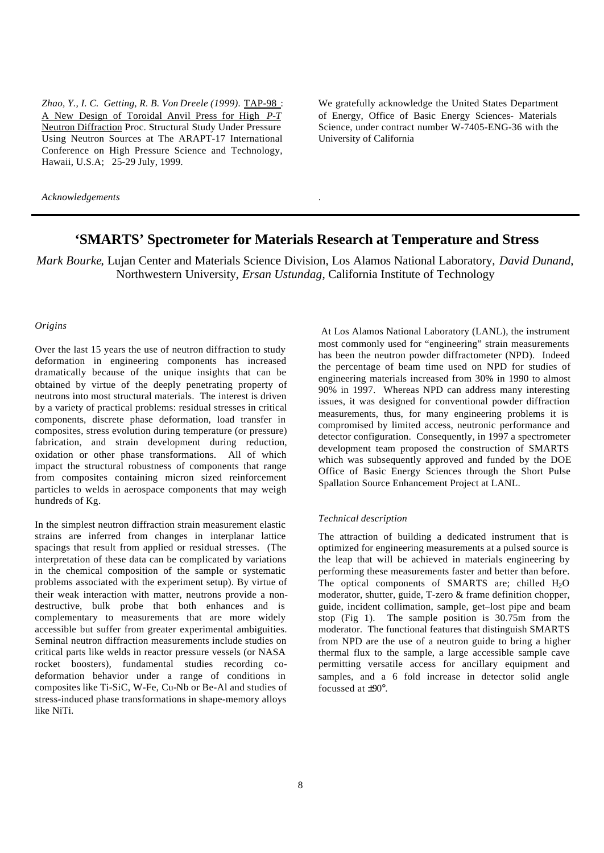*Zhao, Y., I. C. Getting, R. B. Von Dreele (1999).* TAP-98 : A New Design of Toroidal Anvil Press for High *P-T* Neutron Diffraction Proc. Structural Study Under Pressure Using Neutron Sources at The ARAPT-17 International Conference on High Pressure Science and Technology, Hawaii, U.S.A; 25-29 July, 1999.

We gratefully acknowledge the United States Department of Energy, Office of Basic Energy Sciences- Materials Science, under contract number W-7405-ENG-36 with the University of California

*Acknowledgements*

# **'SMARTS' Spectrometer for Materials Research at Temperature and Stress**

.

*Mark Bourke*, Lujan Center and Materials Science Division, Los Alamos National Laboratory, *David Dunand*, Northwestern University, *Ersan Ustundag*, California Institute of Technology

#### *Origins*

Over the last 15 years the use of neutron diffraction to study deformation in engineering components has increased dramatically because of the unique insights that can be obtained by virtue of the deeply penetrating property of neutrons into most structural materials. The interest is driven by a variety of practical problems: residual stresses in critical components, discrete phase deformation, load transfer in composites, stress evolution during temperature (or pressure) fabrication, and strain development during reduction, oxidation or other phase transformations. All of which impact the structural robustness of components that range from composites containing micron sized reinforcement particles to welds in aerospace components that may weigh hundreds of Kg.

In the simplest neutron diffraction strain measurement elastic strains are inferred from changes in interplanar lattice spacings that result from applied or residual stresses. (The interpretation of these data can be complicated by variations in the chemical composition of the sample or systematic problems associated with the experiment setup). By virtue of their weak interaction with matter, neutrons provide a nondestructive, bulk probe that both enhances and is complementary to measurements that are more widely accessible but suffer from greater experimental ambiguities. Seminal neutron diffraction measurements include studies on critical parts like welds in reactor pressure vessels (or NASA rocket boosters), fundamental studies recording codeformation behavior under a range of conditions in composites like Ti-SiC, W-Fe, Cu-Nb or Be-Al and studies of stress-induced phase transformations in shape-memory alloys like NiTi.

 At Los Alamos National Laboratory (LANL), the instrument most commonly used for "engineering" strain measurements has been the neutron powder diffractometer (NPD). Indeed the percentage of beam time used on NPD for studies of engineering materials increased from 30% in 1990 to almost 90% in 1997. Whereas NPD can address many interesting issues, it was designed for conventional powder diffraction measurements, thus, for many engineering problems it is compromised by limited access, neutronic performance and detector configuration. Consequently, in 1997 a spectrometer development team proposed the construction of SMARTS which was subsequently approved and funded by the DOE Office of Basic Energy Sciences through the Short Pulse Spallation Source Enhancement Project at LANL.

### *Technical description*

The attraction of building a dedicated instrument that is optimized for engineering measurements at a pulsed source is the leap that will be achieved in materials engineering by performing these measurements faster and better than before. The optical components of SMARTS are; chilled  $H_2O$ moderator, shutter, guide, T-zero & frame definition chopper, guide, incident collimation, sample, get–lost pipe and beam stop (Fig 1). The sample position is 30.75m from the moderator. The functional features that distinguish SMARTS from NPD are the use of a neutron guide to bring a higher thermal flux to the sample, a large accessible sample cave permitting versatile access for ancillary equipment and samples, and a 6 fold increase in detector solid angle focussed at ±90°.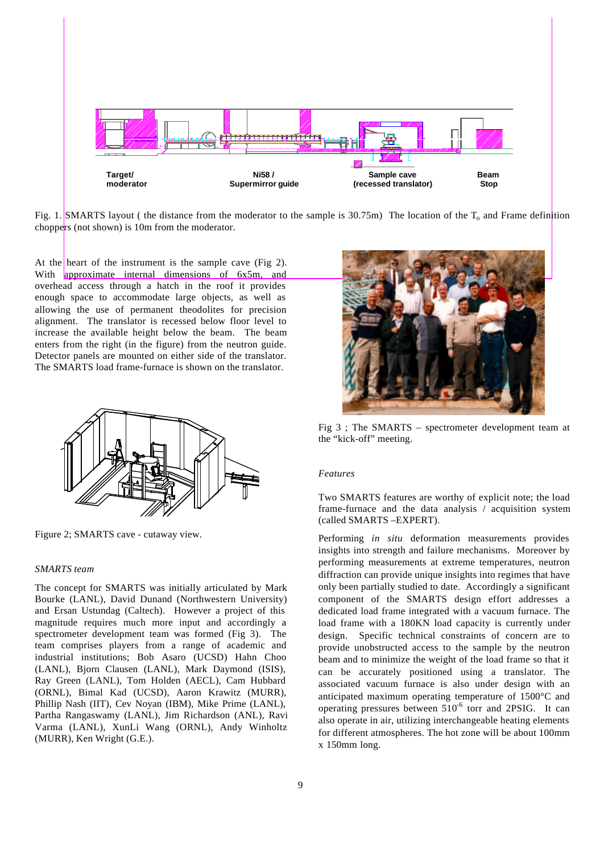

Fig. 1. SMARTS layout ( the distance from the moderator to the sample is  $30.75m$ ) The location of the T<sub>o</sub> and Frame definition choppers (not shown) is 10m from the moderator.

At the heart of the instrument is the sample cave (Fig 2). With approximate internal dimensions of 6x5m, and overhead access through a hatch in the roof it provides enough space to accommodate large objects, as well as allowing the use of permanent theodolites for precision alignment. The translator is recessed below floor level to increase the available height below the beam. The beam enters from the right (in the figure) from the neutron guide. Detector panels are mounted on either side of the translator. The SMARTS load frame-furnace is shown on the translator.



Figure 2; SMARTS cave - cutaway view.

### *SMARTS team*

The concept for SMARTS was initially articulated by Mark Bourke (LANL), David Dunand (Northwestern University) and Ersan Ustundag (Caltech). However a project of this magnitude requires much more input and accordingly a spectrometer development team was formed (Fig 3). The team comprises players from a range of academic and industrial institutions; Bob Asaro (UCSD) Hahn Choo (LANL), Bjorn Clausen (LANL), Mark Daymond (ISIS), Ray Green (LANL), Tom Holden (AECL), Cam Hubbard (ORNL), Bimal Kad (UCSD), Aaron Krawitz (MURR), Phillip Nash (IIT), Cev Noyan (IBM), Mike Prime (LANL), Partha Rangaswamy (LANL), Jim Richardson (ANL), Ravi Varma (LANL), XunLi Wang (ORNL), Andy Winholtz (MURR), Ken Wright (G.E.).



Fig 3 ; The SMARTS – spectrometer development team at the "kick-off" meeting.

#### *Features*

Two SMARTS features are worthy of explicit note; the load frame-furnace and the data analysis / acquisition system (called SMARTS –EXPERT).

Performing *in situ* deformation measurements provides insights into strength and failure mechanisms. Moreover by performing measurements at extreme temperatures, neutron diffraction can provide unique insights into regimes that have only been partially studied to date. Accordingly a significant component of the SMARTS design effort addresses a dedicated load frame integrated with a vacuum furnace. The load frame with a 180KN load capacity is currently under design. Specific technical constraints of concern are to provide unobstructed access to the sample by the neutron beam and to minimize the weight of the load frame so that it can be accurately positioned using a translator. The associated vacuum furnace is also under design with an anticipated maximum operating temperature of 1500°C and operating pressures between  $510^6$  torr and 2PSIG. It can also operate in air, utilizing interchangeable heating elements for different atmospheres. The hot zone will be about 100mm x 150mm long.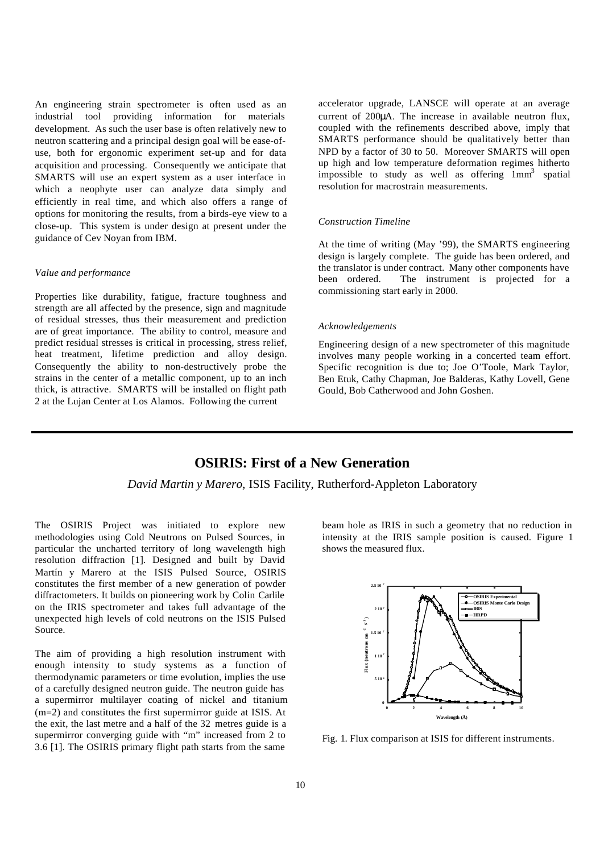An engineering strain spectrometer is often used as an industrial tool providing information for materials development. As such the user base is often relatively new to neutron scattering and a principal design goal will be ease-ofuse, both for ergonomic experiment set-up and for data acquisition and processing. Consequently we anticipate that SMARTS will use an expert system as a user interface in which a neophyte user can analyze data simply and efficiently in real time, and which also offers a range of options for monitoring the results, from a birds-eye view to a close-up. This system is under design at present under the guidance of Cev Noyan from IBM.

## *Value and performance*

Properties like durability, fatigue, fracture toughness and strength are all affected by the presence, sign and magnitude of residual stresses, thus their measurement and prediction are of great importance. The ability to control, measure and predict residual stresses is critical in processing, stress relief, heat treatment, lifetime prediction and alloy design. Consequently the ability to non-destructively probe the strains in the center of a metallic component, up to an inch thick, is attractive. SMARTS will be installed on flight path 2 at the Lujan Center at Los Alamos. Following the current

accelerator upgrade, LANSCE will operate at an average current of 200μA. The increase in available neutron flux, coupled with the refinements described above, imply that SMARTS performance should be qualitatively better than NPD by a factor of 30 to 50. Moreover SMARTS will open up high and low temperature deformation regimes hitherto impossible to study as well as offering 1mm<sup>3</sup> spatial resolution for macrostrain measurements.

#### *Construction Timeline*

At the time of writing (May '99), the SMARTS engineering design is largely complete. The guide has been ordered, and the translator is under contract. Many other components have been ordered. The instrument is projected for a commissioning start early in 2000.

#### *Acknowledgements*

Engineering design of a new spectrometer of this magnitude involves many people working in a concerted team effort. Specific recognition is due to; Joe O'Toole, Mark Taylor, Ben Etuk, Cathy Chapman, Joe Balderas, Kathy Lovell, Gene Gould, Bob Catherwood and John Goshen.

# **OSIRIS: First of a New Generation**

## *David Martin y Marero*, ISIS Facility, Rutherford-Appleton Laboratory

The OSIRIS Project was initiated to explore new methodologies using Cold Neutrons on Pulsed Sources, in particular the uncharted territory of long wavelength high resolution diffraction [1]. Designed and built by David Martín y Marero at the ISIS Pulsed Source, OSIRIS constitutes the first member of a new generation of powder diffractometers. It builds on pioneering work by Colin Carlile on the IRIS spectrometer and takes full advantage of the unexpected high levels of cold neutrons on the ISIS Pulsed Source.

The aim of providing a high resolution instrument with enough intensity to study systems as a function of thermodynamic parameters or time evolution, implies the use of a carefully designed neutron guide. The neutron guide has a supermirror multilayer coating of nickel and titanium (m=2) and constitutes the first supermirror guide at ISIS. At the exit, the last metre and a half of the 32 metres guide is a supermirror converging guide with "m" increased from 2 to 3.6 [1]. The OSIRIS primary flight path starts from the same

beam hole as IRIS in such a geometry that no reduction in intensity at the IRIS sample position is caused. Figure 1 shows the measured flux.



Fig. 1. Flux comparison at ISIS for different instruments.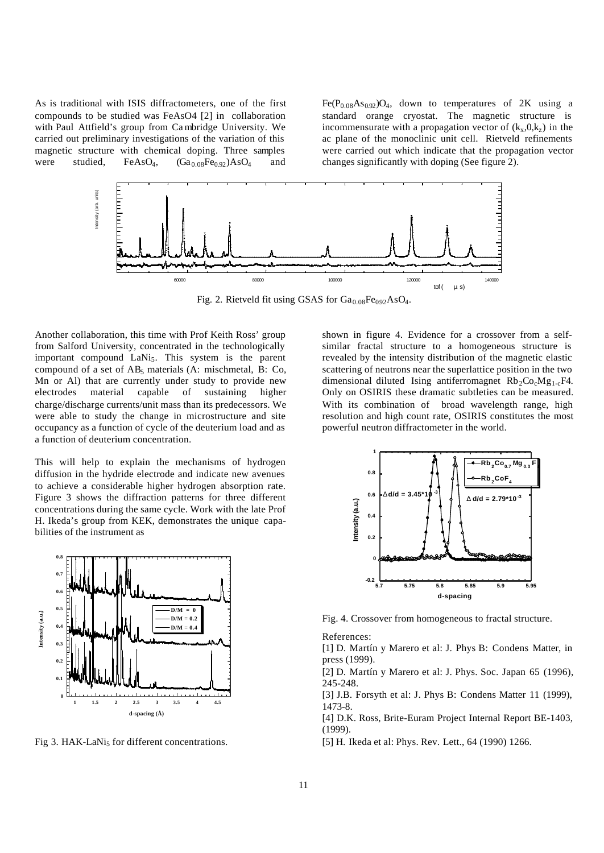As is traditional with ISIS diffractometers, one of the first compounds to be studied was FeAsO4 [2] in collaboration with Paul Attfield's group from Ca mbridge University. We carried out preliminary investigations of the variation of this magnetic structure with chemical doping. Three samples were studied,  $FeAsO<sub>4</sub>$ ,  $(Ga<sub>0.08</sub>Fe<sub>0.92</sub>)AsO<sub>4</sub>$  and

 $Fe(P<sub>0.08</sub>As<sub>0.92</sub>)O<sub>4</sub>$ , down to temperatures of 2K using a standard orange cryostat. The magnetic structure is incommensurate with a propagation vector of  $(k_x, 0, k_z)$  in the ac plane of the monoclinic unit cell. Rietveld refinements were carried out which indicate that the propagation vector changes significantly with doping (See figure 2).



Fig. 2. Rietveld fit using GSAS for  $Ga_{0.08}Fe_{0.92}AsO_4$ .

Another collaboration, this time with Prof Keith Ross' group from Salford University, concentrated in the technologically important compound LaNi<sub>5</sub>. This system is the parent compound of a set of  $AB_5$  materials (A: mischmetal, B: Co, Mn or Al) that are currently under study to provide new electrodes material capable of sustaining higher charge/discharge currents/unit mass than its predecessors. We were able to study the change in microstructure and site occupancy as a function of cycle of the deuterium load and as a function of deuterium concentration.

This will help to explain the mechanisms of hydrogen diffusion in the hydride electrode and indicate new avenues to achieve a considerable higher hydrogen absorption rate. Figure 3 shows the diffraction patterns for three different concentrations during the same cycle. Work with the late Prof H. Ikeda's group from KEK, demonstrates the unique capabilities of the instrument as



Fig 3. HAK-LaNi<sub>5</sub> for different concentrations.

shown in figure 4. Evidence for a crossover from a selfsimilar fractal structure to a homogeneous structure is revealed by the intensity distribution of the magnetic elastic scattering of neutrons near the superlattice position in the two dimensional diluted Ising antiferromagnet  $Rb_2Co_2Mg_{1,c}F4$ . Only on OSIRIS these dramatic subtleties can be measured. With its combination of broad wavelength range, high resolution and high count rate, OSIRIS constitutes the most powerful neutron diffractometer in the world.



Fig. 4. Crossover from homogeneous to fractal structure.

References:

[1] D. Martín y Marero et al: J. Phys B: Condens Matter, in press (1999).

[2] D. Martín y Marero et al: J. Phys. Soc. Japan 65 (1996), 245-248.

[3] J.B. Forsyth et al: J. Phys B: Condens Matter 11 (1999), 1473-8.

[4] D.K. Ross, Brite-Euram Project Internal Report BE-1403, (1999).

[5] H. Ikeda et al: Phys. Rev. Lett., 64 (1990) 1266.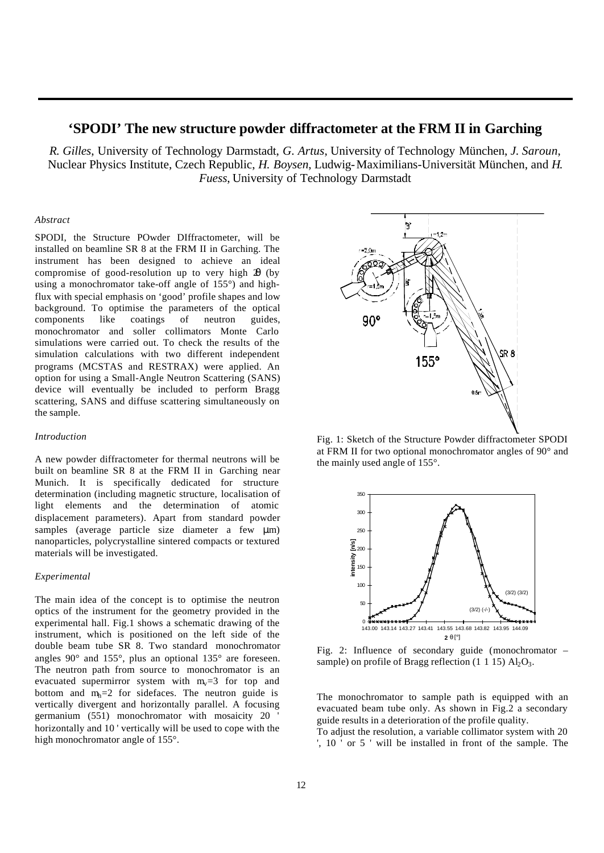## **'SPODI' The new structure powder diffractometer at the FRM II in Garching**

*R. Gilles*, University of Technology Darmstadt, *G. Artus*, University of Technology München, *J. Saroun*, Nuclear Physics Institute, Czech Republic, *H. Boysen*, Ludwig-Maximilians-Universität München, and *H. Fuess*, University of Technology Darmstadt

#### *Abstract*

SPODI, the Structure POwder DIffractometer, will be installed on beamline SR 8 at the FRM II in Garching. The instrument has been designed to achieve an ideal compromise of good-resolution up to very high 2θ (by using a monochromator take-off angle of 155°) and highflux with special emphasis on 'good' profile shapes and low background. To optimise the parameters of the optical components like coatings of neutron guides, monochromator and soller collimators Monte Carlo simulations were carried out. To check the results of the simulation calculations with two different independent programs (MCSTAS and RESTRAX) were applied. An option for using a Small-Angle Neutron Scattering (SANS) device will eventually be included to perform Bragg scattering, SANS and diffuse scattering simultaneously on the sample.

#### *Introduction*

A new powder diffractometer for thermal neutrons will be built on beamline SR 8 at the FRM II in Garching near Munich. It is specifically dedicated for structure determination (including magnetic structure, localisation of light elements and the determination of atomic displacement parameters). Apart from standard powder samples (average particle size diameter a few μm) nanoparticles, polycrystalline sintered compacts or textured materials will be investigated.

#### *Experimental*

The main idea of the concept is to optimise the neutron optics of the instrument for the geometry provided in the experimental hall. Fig.1 shows a schematic drawing of the instrument, which is positioned on the left side of the double beam tube SR 8. Two standard monochromator angles 90° and 155°, plus an optional 135° are foreseen. The neutron path from source to monochromator is an evacuated supermirror system with  $m_v=3$  for top and bottom and  $m_h=2$  for sidefaces. The neutron guide is vertically divergent and horizontally parallel. A focusing germanium (551) monochromator with mosaicity 20 horizontally and 10 ' vertically will be used to cope with the high monochromator angle of 155°.



Fig. 1: Sketch of the Structure Powder diffractometer SPODI at FRM II for two optional monochromator angles of 90° and the mainly used angle of 155°.



Fig. 2: Influence of secondary guide (monochromator – sample) on profile of Bragg reflection  $(1\ 1\ 15)$  Al<sub>2</sub>O<sub>3</sub>.

The monochromator to sample path is equipped with an evacuated beam tube only. As shown in Fig.2 a secondary guide results in a deterioration of the profile quality.

To adjust the resolution, a variable collimator system with 20 ', 10 ' or 5 ' will be installed in front of the sample. The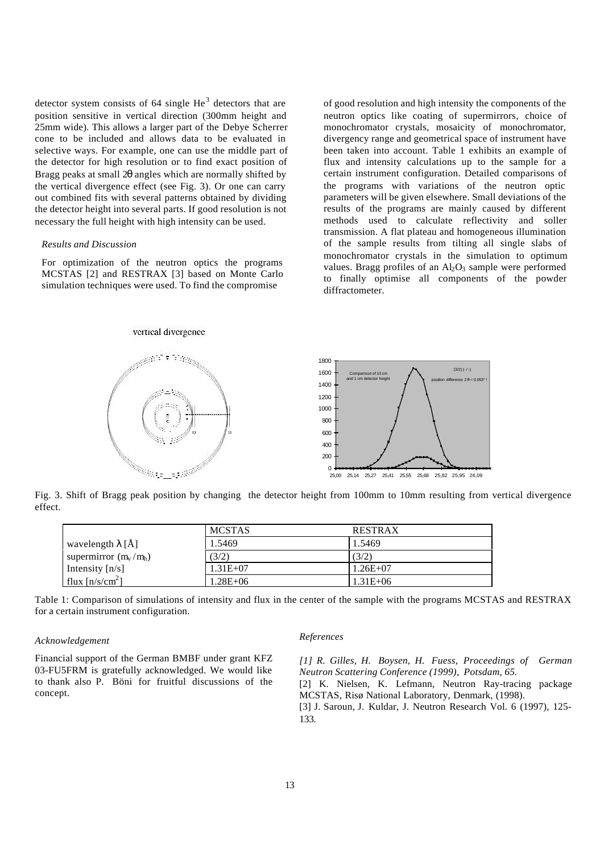detector system consists of 64 single  $He<sup>3</sup>$  detectors that are position sensitive in vertical direction (300mm height and 25mm wide). This allows a larger part of the Debye Scherrer cone to be included and allows data to be evaluated in selective ways. For example, one can use the middle part of the detector for high resolution or to find exact position of Bragg peaks at small 2θ angles which are normally shifted by the vertical divergence effect (see Fig. 3). Or one can carry out combined fits with several patterns obtained by dividing the detector height into several parts. If good resolution is not necessary the full height with high intensity can be used.

#### *Results and Discussion*

For optimization of the neutron optics the programs MCSTAS [2] and RESTRAX [3] based on Monte Carlo simulation techniques were used. To find the compromise

of good resolution and high intensity the components of the neutron optics like coating of supermirrors, choice of monochromator crystals, mosaicity of monochromator, divergency range and geometrical space of instrument have been taken into account. Table 1 exhibits an example of flux and intensity calculations up to the sample for a certain instrument configuration. Detailed comparisons of the programs with variations of the neutron optic parameters will be given elsewhere. Small deviations of the results of the programs are mainly caused by different methods used to calculate reflectivity and soller transmission. A flat plateau and homogeneous illumination of the sample results from tilting all single slabs of monochromator crystals in the simulation to optimum values. Bragg profiles of an  $\text{Al}_2\text{O}_3$  sample were performed to finally optimise all components of the powder diffractometer.



Fig. 3. Shift of Bragg peak position by changing the detector height from 100mm to 10mm resulting from vertical divergence effect.

| <b>MCSTAS</b><br><b>RESTRAX</b>                   |  |
|---------------------------------------------------|--|
| 1.5469<br>1.5469<br>wavelength $\lambda$ [Å]      |  |
| supermirror $(m_v/m_h)$<br>(3/2)<br>(3/2)         |  |
| $1.31E + 07$<br>Intensity $[n/s]$<br>$1.26E+07$   |  |
| flux $[n/s/cm^2]$<br>$1.28E + 06$<br>$1.31E + 06$ |  |

Table 1: Comparison of simulations of intensity and flux in the center of the sample with the programs MCSTAS and RESTRAX for a certain instrument configuration.

#### *Acknowledgement*

Financial support of the German BMBF under grant KFZ 03-FU5FRM is gratefully acknowledged. We would like to thank also P. Böni for fruitful discussions of the concept.

#### *References*

*[1] R. Gilles, H. Boysen, H. Fuess, Proceedings of German Neutron Scattering Conference (1999), Potsdam, 65.* [2] K. Nielsen, K. Lefmann, Neutron Ray-tracing package MCSTAS, Risø National Laboratory, Denmark, (1998).

[3] J. Saroun, J. Kuldar, J. Neutron Research Vol. 6 (1997), 125- 133.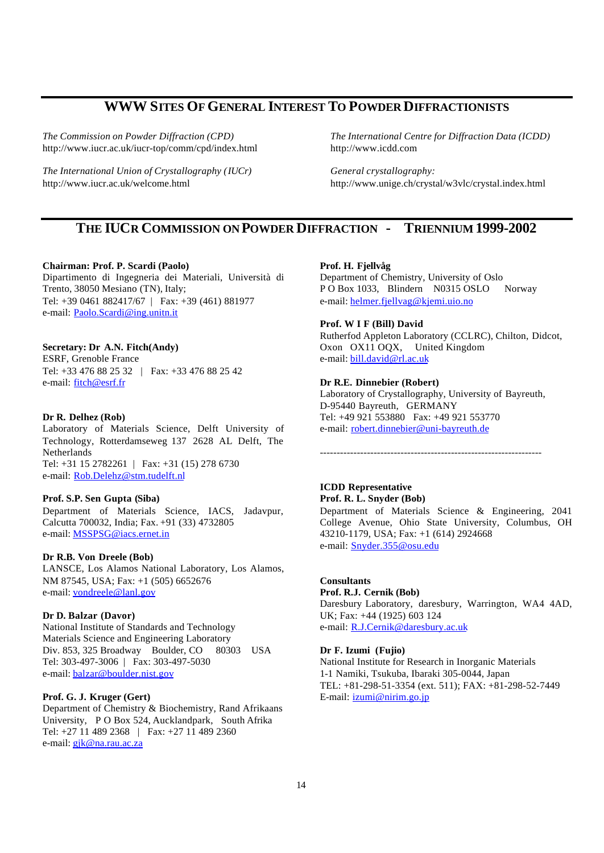# **WWW SITES OF GENERAL INTEREST TO POWDER DIFFRACTIONISTS**

*The Commission on Powder Diffraction (CPD)* http://www.iucr.ac.uk/iucr-top/comm/cpd/index.html

*The International Union of Crystallography (IUCr)* http://www.iucr.ac.uk/welcome.html

*The International Centre for Diffraction Data (ICDD)* http://www.icdd.com

*General crystallography:* http://www.unige.ch/crystal/w3vlc/crystal.index.html

# **THE IUCR COMMISSION ON POWDER DIFFRACTION - TRIENNIUM 1999-2002**

#### **Chairman: Prof. P. Scardi (Paolo)**

Dipartimento di Ingegneria dei Materiali, Università di Trento, 38050 Mesiano (TN), Italy; Tel: +39 0461 882417/67 | Fax: +39 (461) 881977 e-mail: Paolo.Scardi@ing.unitn.it

### **Secretary: Dr A.N. Fitch(Andy)**

ESRF, Grenoble France Tel: +33 476 88 25 32 | Fax: +33 476 88 25 42 e-mail: fitch@esrf.fr

#### **Dr R. Delhez (Rob)**

Laboratory of Materials Science, Delft University of Technology, Rotterdamseweg 137 2628 AL Delft, The Netherlands Tel: +31 15 2782261 | Fax: +31 (15) 278 6730 e-mail: Rob.Delehz@stm.tudelft.nl

#### **Prof. S.P. Sen Gupta (Siba)**

Department of Materials Science, IACS, Jadavpur, Calcutta 700032, India; Fax. +91 (33) 4732805 e-mail: MSSPSG@iacs.ernet.in

#### **Dr R.B. Von Dreele (Bob)**

LANSCE, Los Alamos National Laboratory, Los Alamos, NM 87545, USA; Fax: +1 (505) 6652676 e-mail: vondreele@lanl.gov

#### **Dr D. Balzar (Davor)**

National Institute of Standards and Technology Materials Science and Engineering Laboratory Div. 853, 325 Broadway Boulder, CO 80303 USA Tel: 303-497-3006 | Fax: 303-497-5030 e-mail: balzar@boulder.nist.gov

## **Prof. G. J. Kruger (Gert)**

Department of Chemistry & Biochemistry, Rand Afrikaans University, P O Box 524, Aucklandpark, South Afrika Tel: +27 11 489 2368 | Fax: +27 11 489 2360 e-mail: *gjk@na.rau.ac.za* 

#### **Prof. H. Fjellvåg**

Department of Chemistry, University of Oslo P O Box 1033, Blindern N0315 OSLO Norway e-mail: helmer.fjellvag@kjemi.uio.no

### **Prof. W I F (Bill) David**

Rutherfod Appleton Laboratory (CCLRC), Chilton, Didcot, Oxon OX11 OQX, United Kingdom e-mail: bill.david@rl.ac.uk

#### **Dr R.E. Dinnebier (Robert)**

Laboratory of Crystallography, University of Bayreuth, D-95440 Bayreuth, GERMANY Tel: +49 921 553880 Fax: +49 921 553770 e-mail: robert.dinnebier@uni-bayreuth.de

------------------------------------------------------------------

## **ICDD Representative Prof. R. L. Snyder (Bob)**

Department of Materials Science & Engineering, 2041 College Avenue, Ohio State University, Columbus, OH 43210-1179, USA; Fax: +1 (614) 2924668 e-mail: Snyder.355@osu.edu

## **Consultants**

# **Prof. R.J. Cernik (Bob)**

Daresbury Laboratory, daresbury, Warrington, WA4 4AD, UK; Fax: +44 (1925) 603 124 e-mail: R.J.Cernik@daresbury.ac.uk

#### **Dr F. Izumi (Fujio)**

National Institute for Research in Inorganic Materials 1-1 Namiki, Tsukuba, Ibaraki 305-0044, Japan TEL: +81-298-51-3354 (ext. 511); FAX: +81-298-52-7449 E-mail: izumi@nirim.go.jp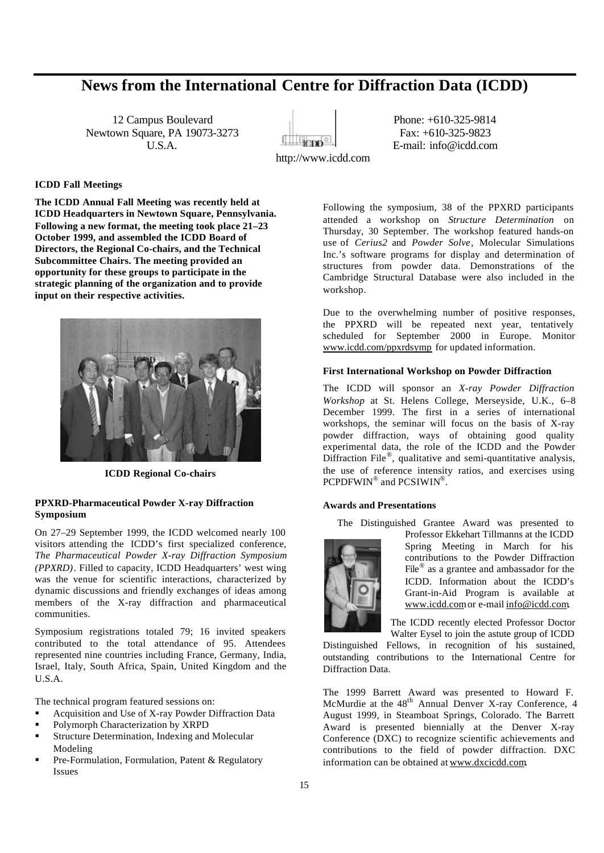# **News from the International Centre for Diffraction Data (ICDD)**

12 Campus Boulevard Phone: +610-325-9814 Newtown Square, PA 19073-3273 Fax: +610-325-9823



U.S.A. **E-mail:** info@icdd.com

## **ICDD Fall Meetings**

**The ICDD Annual Fall Meeting was recently held at ICDD Headquarters in Newtown Square, Pennsylvania. Following a new format, the meeting took place 21–23 October 1999, and assembled the ICDD Board of Directors, the Regional Co-chairs, and the Technical Subcommittee Chairs. The meeting provided an opportunity for these groups to participate in the strategic planning of the organization and to provide input on their respective activities.**



**ICDD Regional Co-chairs**

### **PPXRD-Pharmaceutical Powder X-ray Diffraction Symposium**

On 27–29 September 1999, the ICDD welcomed nearly 100 visitors attending the ICDD's first specialized conference, *The Pharmaceutical Powder X-ray Diffraction Symposium (PPXRD)*. Filled to capacity, ICDD Headquarters' west wing was the venue for scientific interactions, characterized by dynamic discussions and friendly exchanges of ideas among members of the X-ray diffraction and pharmaceutical communities.

Symposium registrations totaled 79; 16 invited speakers contributed to the total attendance of 95. Attendees represented nine countries including France, Germany, India, Israel, Italy, South Africa, Spain, United Kingdom and the U.S.A.

The technical program featured sessions on:

- ß Acquisition and Use of X-ray Powder Diffraction Data
- ß Polymorph Characterization by XRPD
- ß Structure Determination, Indexing and Molecular Modeling
- ß Pre-Formulation, Formulation, Patent & Regulatory Issues

Following the symposium, 38 of the PPXRD participants attended a workshop on *Structure Determination* on Thursday, 30 September. The workshop featured hands-on use of *Cerius2* and *Powder Solve*, Molecular Simulations Inc.'s software programs for display and determination of structures from powder data. Demonstrations of the Cambridge Structural Database were also included in the workshop.

Due to the overwhelming number of positive responses, the PPXRD will be repeated next year, tentatively scheduled for September 2000 in Europe. Monitor www.icdd.com/ppxrdsymp for updated information.

## **First International Workshop on Powder Diffraction**

The ICDD will sponsor an *X-ray Powder Diffraction Workshop* at St. Helens College, Merseyside, U.K., 6–8 December 1999. The first in a series of international workshops, the seminar will focus on the basis of X-ray powder diffraction, ways of obtaining good quality experimental data, the role of the ICDD and the Powder Diffraction File<sup>®</sup>, qualitative and semi-quantitative analysis, the use of reference intensity ratios, and exercises using PCPDFWIN® and PCSIWIN®.

#### **Awards and Presentations**

The Distinguished Grantee Award was presented to



Professor Ekkehart Tillmanns at the ICDD Spring Meeting in March for his contributions to the Powder Diffraction File<sup>®</sup> as a grantee and ambassador for the ICDD. Information about the ICDD's Grant-in-Aid Program is available at www.icdd.com or e-mail info@icdd.com.

The ICDD recently elected Professor Doctor Walter Eysel to join the astute group of ICDD

Distinguished Fellows, in recognition of his sustained, outstanding contributions to the International Centre for Diffraction Data.

The 1999 Barrett Award was presented to Howard F. McMurdie at the 48<sup>th</sup> Annual Denver X-ray Conference, 4 August 1999, in Steamboat Springs, Colorado. The Barrett Award is presented biennially at the Denver X-ray Conference (DXC) to recognize scientific achievements and contributions to the field of powder diffraction. DXC information can be obtained at www.dxcicdd.com.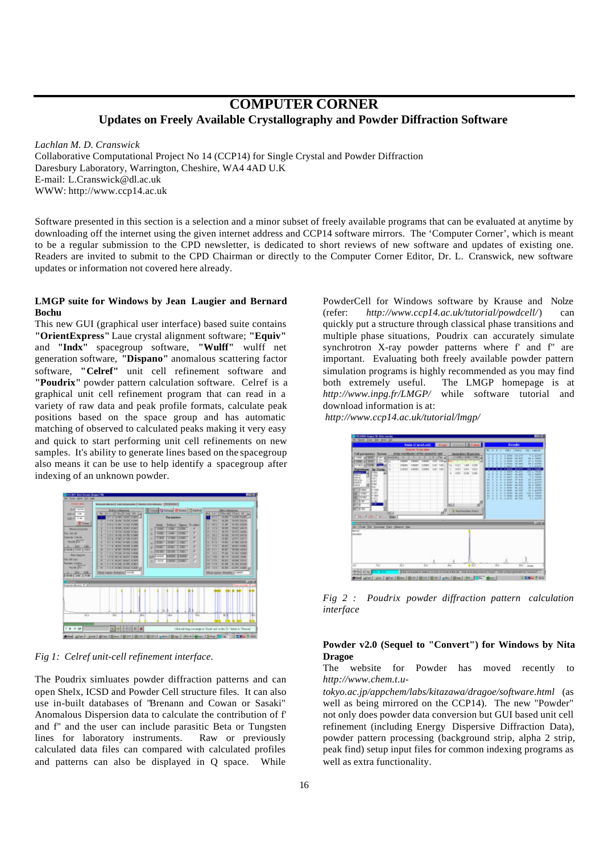# **COMPUTER CORNER Updates on Freely Available Crystallography and Powder Diffraction Software**

*Lachlan M. D. Cranswick*

Collaborative Computational Project No 14 (CCP14) for Single Crystal and Powder Diffraction Daresbury Laboratory, Warrington, Cheshire, WA4 4AD U.K E-mail: L.Cranswick@dl.ac.uk WWW: http://www.ccp14.ac.uk

Software presented in this section is a selection and a minor subset of freely available programs that can be evaluated at anytime by downloading off the internet using the given internet address and CCP14 software mirrors. The 'Computer Corner', which is meant to be a regular submission to the CPD newsletter, is dedicated to short reviews of new software and updates of existing one. Readers are invited to submit to the CPD Chairman or directly to the Computer Corner Editor, Dr. L. Cranswick, new software updates or information not covered here already.

#### **LMGP suite for Windows by Jean Laugier and Bernard Bochu**

This new GUI (graphical user interface) based suite contains **"OrientExpress"** Laue crystal alignment software; **"Equiv"** and **"Indx"** spacegroup software, **"Wulff"** wulff net generation software, **"Dispano"** anomalous scattering factor software, **"Celref"** unit cell refinement software and **"Poudrix"** powder pattern calculation software. Celref is a graphical unit cell refinement program that can read in a variety of raw data and peak profile formats, calculate peak positions based on the space group and has automatic matching of observed to calculated peaks making it very easy and quick to start performing unit cell refinements on new samples. It's ability to generate lines based on the spacegroup also means it can be use to help identify a spacegroup after indexing of an unknown powder.



*Fig 1: Celref unit-cell refinement interface.*

The Poudrix simluates powder diffraction patterns and can open Shelx, ICSD and Powder Cell structure files. It can also use in-built databases of "Brenann and Cowan or Sasaki" Anomalous Dispersion data to calculate the contribution of f' and f'' and the user can include parasitic Beta or Tungsten lines for laboratory instruments. Raw or previously calculated data files can compared with calculated profiles and patterns can also be displayed in Q space. While

PowderCell for Windows software by Krause and Nolze (refer: *http://www.ccp14.ac.uk/tutorial/powdcell/*) can quickly put a structure through classical phase transitions and multiple phase situations, Poudrix can accurately simulate synchrotron X-ray powder patterns where f' and f'' are important. Evaluating both freely available powder pattern simulation programs is highly recommended as you may find both extremely useful. The LMGP homepage is at *http://www.inpg.fr/LMGP/* while software tutorial and download information is at:





*Fig 2 : Poudrix powder diffraction pattern calculation interface*

## **Powder v2.0 (Sequel to "Convert") for Windows by Nita Dragoe**

#### The website for Powder has moved recently to *http://www.chem.t.u-*

*tokyo.ac.jp/appchem/labs/kitazawa/dragoe/software.html* (as well as being mirrored on the CCP14). The new "Powder" not only does powder data conversion but GUI based unit cell refinement (including Energy Dispersive Diffraction Data), powder pattern processing (background strip, alpha 2 strip, peak find) setup input files for common indexing programs as well as extra functionality.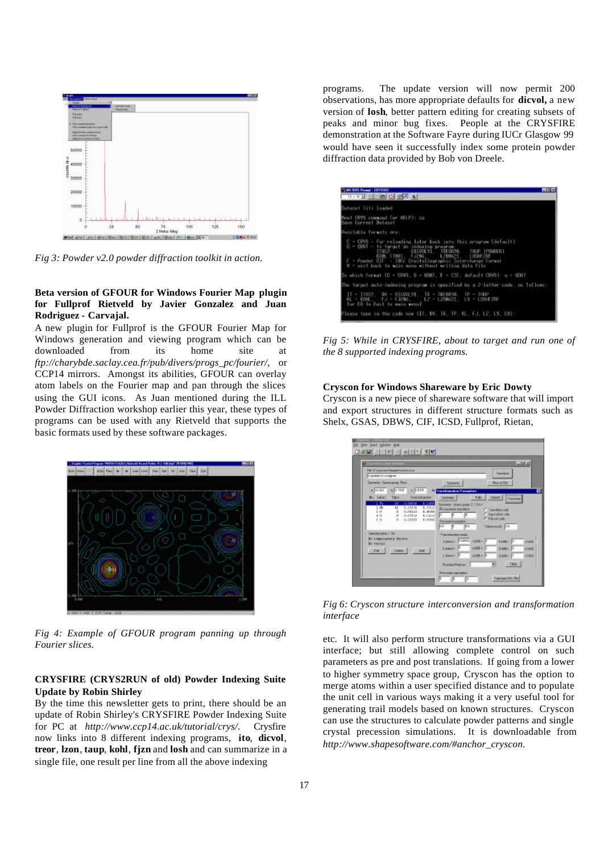

*Fig 3: Powder v2.0 powder diffraction toolkit in action.*

### **Beta version of GFOUR for Windows Fourier Map plugin for Fullprof Rietveld by Javier Gonzalez and Juan Rodriguez - Carvajal.**

A new plugin for Fullprof is the GFOUR Fourier Map for Windows generation and viewing program which can be downloaded from its home site at *ftp://charybde.saclay.cea.fr/pub/divers/progs\_pc/fourier/*, or CCP14 mirrors. Amongst its abilities, GFOUR can overlay atom labels on the Fourier map and pan through the slices using the GUI icons. As Juan mentioned during the ILL Powder Diffraction workshop earlier this year, these types of programs can be used with any Rietveld that supports the basic formats used by these software packages.



*Fig 4: Example of GFOUR program panning up through Fourier slices.*

### **CRYSFIRE (CRYS2RUN of old) Powder Indexing Suite Update by Robin Shirley**

By the time this newsletter gets to print, there should be an update of Robin Shirley's CRYSFIRE Powder Indexing Suite for PC at *http://www.ccp14.ac.uk/tutorial/crys/*. Crysfire now links into 8 different indexing programs, **ito**, **dicvol**, **treor**, **lzon**, **taup**, **kohl**, **fjzn** and **losh** and can summarize in a single file, one result per line from all the above indexing

programs. The update version will now permit 200 observations, has more appropriate defaults for **dicvol,** a new version of **losh**, better pattern editing for creating subsets of peaks and minor bug fixes. People at the CRYSFIRE demonstration at the Software Fayre during IUCr Glasgow 99 would have seen it successfully index some protein powder diffraction data provided by Bob von Dreele.

| Mi-035 Frank - DITUITI<br>周回风                                                                                                                                                                                                                                                                                               |
|-----------------------------------------------------------------------------------------------------------------------------------------------------------------------------------------------------------------------------------------------------------------------------------------------------------------------------|
| H - ※ 되 E H - [ B] E - [ B] - [ B] - [ B] - [ B]                                                                                                                                                                                                                                                                            |
| Weteret liti loaded                                                                                                                                                                                                                                                                                                         |
| Worl LBVS command (or HELP): say<br>ieve Corrent Deteset                                                                                                                                                                                                                                                                    |
| hvailable Tormats are:                                                                                                                                                                                                                                                                                                      |
| C = CRVS - for relaading later back into this program (default)<br>0 - 0007 - to target an indexing program<br>DICVOLSI TREORSH, TRUP IPOMIERI<br><b>THERE</b><br>KUHL (THO), FJZN6, 170N621, 105HF26E<br>F - Powder CIF - IUCr Crustaliographic Interchange Format<br>X - exit back to main monu without writing data file |
| In which format (C = CRVS, O = ORAT, F = CIF; default CRVS); g = ODAT                                                                                                                                                                                                                                                       |
| The target auto-indexima program is specified by a 2-letter cade, as follows:                                                                                                                                                                                                                                               |
| II = ITO12. DV = DICVOLS1. TW = TREORSO, TP = TAUP<br>KL - KOHL, FJ - FJZNS, LZ - LZONSZ1, LS - LOSHFZNF<br>(or EX io Exit io main menu)                                                                                                                                                                                    |
| lease type in the code now (II, IV, IV, IV, KL, FJ, LZ, LS, EX);                                                                                                                                                                                                                                                            |

*Fig 5: While in CRYSFIRE, about to target and run one of the 8 supported indexing programs.*

#### **Cryscon for Windows Shareware by Eric Dowty**

Cryscon is a new piece of shareware software that will import and export structures in different structure formats such as Shelx, GSAS, DBWS, CIF, ICSD, Fullprof, Rietan,

| File: E'soynanni Alangde Andlossane<br>Templant<br><b>Entertain Innovatories</b><br>power Tame pour Plan<br><b>Senate</b><br><b>Newto Did</b><br>a-Burstall<br>whence it<br>$-0.823$<br><b>Toyota Instruction Plannance and</b><br>Roll Tabell<br>Bab-<br>Concel   Tuesdam<br>forectionnel<br>Terri<br>Sumply.<br>36 0.000 N 9.1450<br>L. Tu<br>Somety - Space great C1 2/11<br>2時<br>0.15636<br>1,350,00<br>41.<br>Prosessery towards<br><b>Citations</b><br>200<br>C. COLLS<br>3.9300<br>$\overline{a}$<br>C. Input were still<br>8 F R<br>5.0.<br>8,11130<br>$-1$<br>0.07016<br>O NEwtown<br>5.0.<br>8. 负信号<br>8.89690<br>Parametersushees<br>Talmanovice (CL<br>on a bay<br>Edeployment Far<br>Transferencia e pola<br><b>Ro temperature factor</b><br><b>STORY 4388 + 14</b><br><b>AMAGE</b><br>a based a<br><b>Ro vactor</b><br>x14454<br><b>Bilder</b><br>biheate 11<br>The College of the College of the College of the College of the College of<br>4308 + 11<br>Chevin N<br>$0.048 - 1$<br>Char | <b>Charmel Direct Income</b> | <b>Little</b>      |
|-----------------------------------------------------------------------------------------------------------------------------------------------------------------------------------------------------------------------------------------------------------------------------------------------------------------------------------------------------------------------------------------------------------------------------------------------------------------------------------------------------------------------------------------------------------------------------------------------------------------------------------------------------------------------------------------------------------------------------------------------------------------------------------------------------------------------------------------------------------------------------------------------------------------------------------------------------------------------------------------------------------|------------------------------|--------------------|
|                                                                                                                                                                                                                                                                                                                                                                                                                                                                                                                                                                                                                                                                                                                                                                                                                                                                                                                                                                                                           |                              |                    |
|                                                                                                                                                                                                                                                                                                                                                                                                                                                                                                                                                                                                                                                                                                                                                                                                                                                                                                                                                                                                           |                              |                    |
|                                                                                                                                                                                                                                                                                                                                                                                                                                                                                                                                                                                                                                                                                                                                                                                                                                                                                                                                                                                                           |                              |                    |
|                                                                                                                                                                                                                                                                                                                                                                                                                                                                                                                                                                                                                                                                                                                                                                                                                                                                                                                                                                                                           |                              |                    |
|                                                                                                                                                                                                                                                                                                                                                                                                                                                                                                                                                                                                                                                                                                                                                                                                                                                                                                                                                                                                           |                              |                    |
|                                                                                                                                                                                                                                                                                                                                                                                                                                                                                                                                                                                                                                                                                                                                                                                                                                                                                                                                                                                                           |                              |                    |
|                                                                                                                                                                                                                                                                                                                                                                                                                                                                                                                                                                                                                                                                                                                                                                                                                                                                                                                                                                                                           |                              |                    |
|                                                                                                                                                                                                                                                                                                                                                                                                                                                                                                                                                                                                                                                                                                                                                                                                                                                                                                                                                                                                           |                              |                    |
|                                                                                                                                                                                                                                                                                                                                                                                                                                                                                                                                                                                                                                                                                                                                                                                                                                                                                                                                                                                                           |                              |                    |
|                                                                                                                                                                                                                                                                                                                                                                                                                                                                                                                                                                                                                                                                                                                                                                                                                                                                                                                                                                                                           |                              |                    |
|                                                                                                                                                                                                                                                                                                                                                                                                                                                                                                                                                                                                                                                                                                                                                                                                                                                                                                                                                                                                           |                              | 1444               |
|                                                                                                                                                                                                                                                                                                                                                                                                                                                                                                                                                                                                                                                                                                                                                                                                                                                                                                                                                                                                           |                              | clod               |
|                                                                                                                                                                                                                                                                                                                                                                                                                                                                                                                                                                                                                                                                                                                                                                                                                                                                                                                                                                                                           |                              | cost               |
|                                                                                                                                                                                                                                                                                                                                                                                                                                                                                                                                                                                                                                                                                                                                                                                                                                                                                                                                                                                                           |                              |                    |
|                                                                                                                                                                                                                                                                                                                                                                                                                                                                                                                                                                                                                                                                                                                                                                                                                                                                                                                                                                                                           |                              | <b>BustelMaker</b> |
|                                                                                                                                                                                                                                                                                                                                                                                                                                                                                                                                                                                                                                                                                                                                                                                                                                                                                                                                                                                                           |                              |                    |

*Fig 6: Cryscon structure interconversion and transformation interface*

etc. It will also perform structure transformations via a GUI interface; but still allowing complete control on such parameters as pre and post translations. If going from a lower to higher symmetry space group, Cryscon has the option to merge atoms within a user specified distance and to populate the unit cell in various ways making it a very useful tool for generating trail models based on known structures. Cryscon can use the structures to calculate powder patterns and single crystal precession simulations. It is downloadable from *http://www.shapesoftware.com/#anchor\_cryscon*.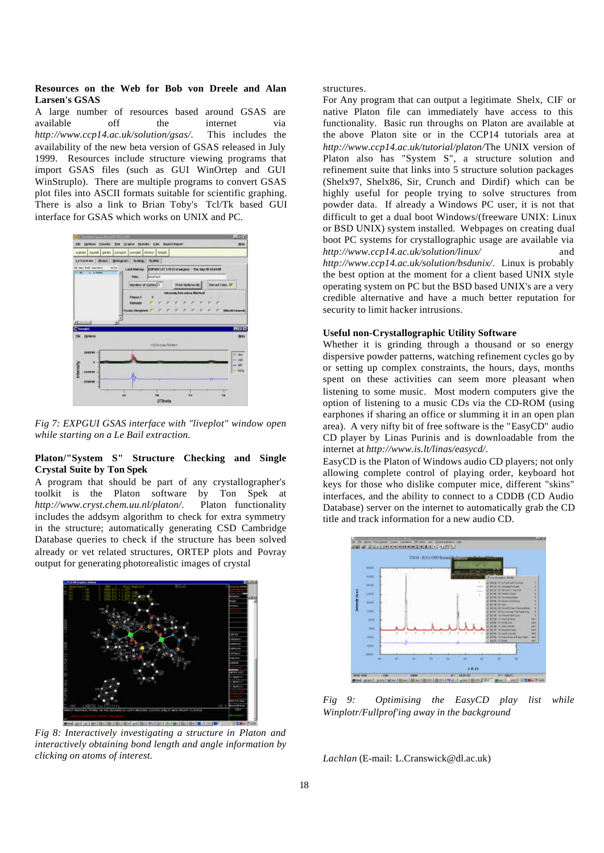#### **Resources on the Web for Bob von Dreele and Alan Larsen's GSAS**

A large number of resources based around GSAS are available off the internet via *http://www.ccp14.ac.uk/solution/gsas/*. This includes the availability of the new beta version of GSAS released in July 1999. Resources include structure viewing programs that import GSAS files (such as GUI WinOrtep and GUI WinStruplo). There are multiple programs to convert GSAS plot files into ASCII formats suitable for scientific graphing. There is also a link to Brian Toby's Tcl/Tk based GUI interface for GSAS which works on UNIX and PC.



*Fig 7: EXPGUI GSAS interface with "liveplot" window open while starting on a Le Bail extraction.*

## **Platon/"System S" Structure Checking and Single Crystal Suite by Ton Spek**

A program that should be part of any crystallographer's toolkit is the Platon software by Ton Spek at *http://www.cryst.chem.uu.nl/platon/*. Platon functionality includes the addsym algorithm to check for extra symmetry in the structure; automatically generating CSD Cambridge Database queries to check if the structure has been solved already or vet related structures, ORTEP plots and Povray output for generating photorealistic images of crystal



*Fig 8: Interactively investigating a structure in Platon and interactively obtaining bond length and angle information by clicking on atoms of interest.*

structures.

For Any program that can output a legitimate Shelx, CIF or native Platon file can immediately have access to this functionality. Basic run throughs on Platon are available at the above Platon site or in the CCP14 tutorials area at *http://www.ccp14.ac.uk/tutorial/platon/*The UNIX version of Platon also has "System S", a structure solution and refinement suite that links into 5 structure solution packages (Shelx97, Shelx86, Sir, Crunch and Dirdif) which can be highly useful for people trying to solve structures from powder data. If already a Windows PC user, it is not that difficult to get a dual boot Windows/(freeware UNIX: Linux or BSD UNIX) system installed. Webpages on creating dual boot PC systems for crystallographic usage are available via *http://www.ccp14.ac.uk/solution/linux/* and *http://www.ccp14.ac.uk/solution/bsdunix/*. Linux is probably the best option at the moment for a client based UNIX style operating system on PC but the BSD based UNIX's are a very credible alternative and have a much better reputation for security to limit hacker intrusions.

#### **Useful non-Crystallographic Utility Software**

Whether it is grinding through a thousand or so energy dispersive powder patterns, watching refinement cycles go by or setting up complex constraints, the hours, days, months spent on these activities can seem more pleasant when listening to some music. Most modern computers give the option of listening to a music CDs via the CD-ROM (using earphones if sharing an office or slumming it in an open plan area). A very nifty bit of free software is the "EasyCD" audio CD player by Linas Purinis and is downloadable from the internet at *http://www.is.lt/linas/easycd/*.

EasyCD is the Platon of Windows audio CD players; not only allowing complete control of playing order, keyboard hot keys for those who dislike computer mice, different "skins" interfaces, and the ability to connect to a CDDB (CD Audio Database) server on the internet to automatically grab the CD title and track information for a new audio CD.



*Fig 9: Optimising the EasyCD play list while Winplotr/Fullprof'ing away in the background*

*Lachlan* (E-mail: L.Cranswick@dl.ac.uk)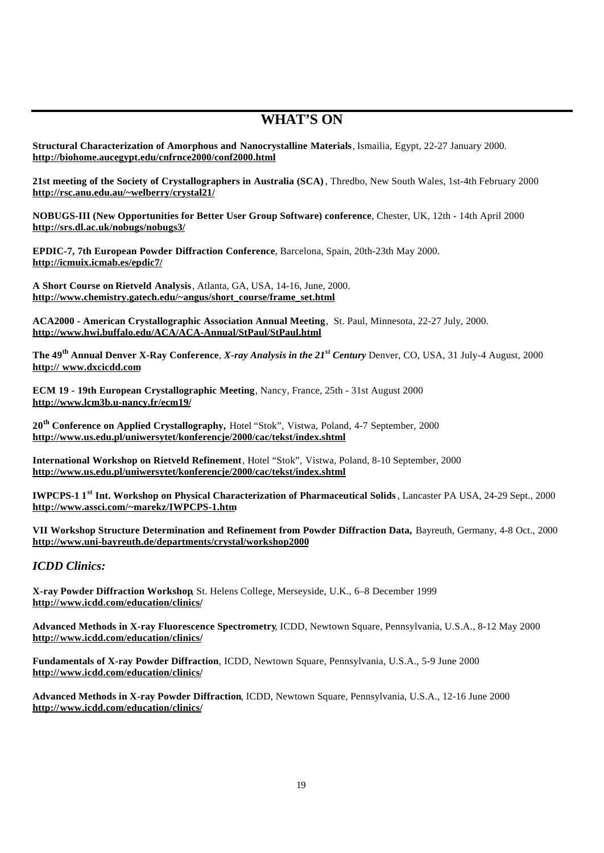# **WHAT'S ON**

**Structural Characterization of Amorphous and Nanocrystalline Materials**, Ismailia, Egypt, 22-27 January 2000. **http://biohome.aucegypt.edu/cnfrnce2000/conf2000.html**

**21st meeting of the Society of Crystallographers in Australia (SCA)**, Thredbo, New South Wales, 1st-4th February 2000 **http://rsc.anu.edu.au/~welberry/crystal21/**

**NOBUGS-III (New Opportunities for Better User Group Software) conference**, Chester, UK, 12th - 14th April 2000 **http://srs.dl.ac.uk/nobugs/nobugs3/**

**EPDIC-7, 7th European Powder Diffraction Conference**, Barcelona, Spain, 20th-23th May 2000. **http://icmuix.icmab.es/epdic7/**

**A Short Course on Rietveld Analysis**, Atlanta, GA, USA, 14-16, June, 2000. **http://www.chemistry.gatech.edu/~angus/short\_course/frame\_set.html**

**ACA2000 - American Crystallographic Association Annual Meeting**, St. Paul, Minnesota, 22-27 July, 2000. **http://www.hwi.buffalo.edu/ACA/ACA-Annual/StPaul/StPaul.html**

**The 49th Annual Denver X-Ray Conference**, *X-ray Analysis in the 21st Century* Denver, CO, USA, 31 July-4 August, 2000 **http:// www.dxcicdd.com**

**ECM 19 - 19th European Crystallographic Meeting**, Nancy, France, 25th - 31st August 2000 **http://www.lcm3b.u-nancy.fr/ecm19/**

**20th Conference on Applied Crystallography,** Hotel "Stok", Vistwa, Poland, 4-7 September, 2000 **http://www.us.edu.pl/uniwersytet/konferencje/2000/cac/tekst/index.shtml**

**International Workshop on Rietveld Refinement**, Hotel "Stok", Vistwa, Poland, 8-10 September, 2000 **http://www.us.edu.pl/uniwersytet/konferencje/2000/cac/tekst/index.shtml**

**IWPCPS-1 1st Int. Workshop on Physical Characterization of Pharmaceutical Solids**, Lancaster PA USA, 24-29 Sept., 2000 **http://www.assci.com/~marekz/IWPCPS-1.htm**

**VII Workshop Structure Determination and Refinement from Powder Diffraction Data,** Bayreuth, Germany, 4-8 Oct., 2000 **http://www.uni-bayreuth.de/departments/crystal/workshop2000**

*ICDD Clinics:*

**X-ray Powder Diffraction Workshop**, St. Helens College, Merseyside, U.K., 6–8 December 1999 **http://www.icdd.com/education/clinics/**

**Advanced Methods in X-ray Fluorescence Spectrometry**, ICDD, Newtown Square, Pennsylvania, U.S.A., 8-12 May 2000 **http://www.icdd.com/education/clinics/**

**Fundamentals of X-ray Powder Diffraction**, ICDD, Newtown Square, Pennsylvania, U.S.A., 5-9 June 2000 **http://www.icdd.com/education/clinics/**

**Advanced Methods in X-ray Powder Diffraction**, ICDD, Newtown Square, Pennsylvania, U.S.A., 12-16 June 2000 **http://www.icdd.com/education/clinics/**